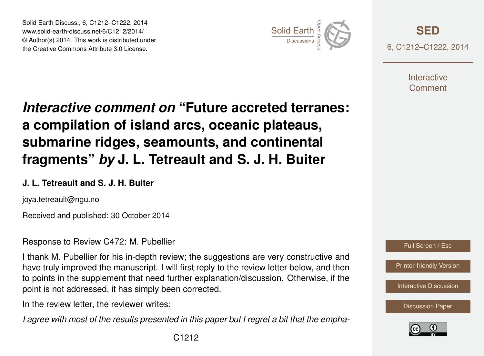Solid Earth Discuss., 6, C1212–C1222, 2014 www.solid-earth-discuss.net/6/C1212/2014/ © Author(s) 2014. This work is distributed under Solid Earth Discuss., 6, C1212–C1222, 2014<br>www.solid-earth-discuss.net/6/C1212/2014/<br>© Author(s) 2014. This work is distributed under<br>the Creative Commons Attribute 3.0 License.



**[SED](http://www.solid-earth-discuss.net)** 6, C1212–C1222, 2014

> **Interactive** Comment

# *Interactive comment on* **"Future accreted terranes: a compilation of island arcs, oceanic plateaus, submarine ridges, seamounts, and continental fragments"** *by* **J. L. Tetreault and S. J. H. Buiter**

### **J. L. Tetreault and S. J. H. Buiter**

joya.tetreault@ngu.no

Received and published: 30 October 2014

Response to Review C472: M. Pubellier

I thank M. Pubellier for his in-depth review; the suggestions are very constructive and have truly improved the manuscript. I will first reply to the review letter below, and then to points in the supplement that need further explanation/discussion. Otherwise, if the point is not addressed, it has simply been corrected.

In the review letter, the reviewer writes:

*I agree with most of the results presented in this paper but I regret a bit that the empha-*



[Printer-friendly Version](http://www.solid-earth-discuss.net/6/C1212/2014/sed-6-C1212-2014-print.pdf)

[Interactive Discussion](http://www.solid-earth-discuss.net/6/1451/2014/sed-6-1451-2014-discussion.html)



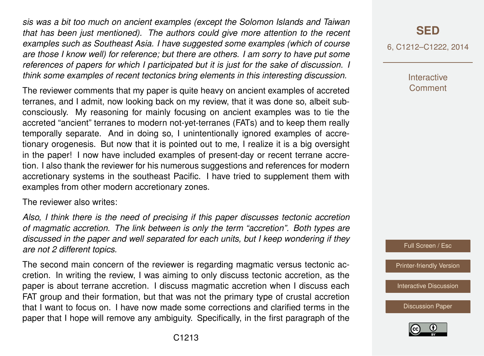*sis was a bit too much on ancient examples (except the Solomon Islands and Taiwan that has been just mentioned). The authors could give more attention to the recent examples such as Southeast Asia. I have suggested some examples (which of course are those I know well) for reference; but there are others. I am sorry to have put some references of papers for which I participated but it is just for the sake of discussion. I think some examples of recent tectonics bring elements in this interesting discussion.*

The reviewer comments that my paper is quite heavy on ancient examples of accreted terranes, and I admit, now looking back on my review, that it was done so, albeit subconsciously. My reasoning for mainly focusing on ancient examples was to tie the accreted "ancient" terranes to modern not-yet-terranes (FATs) and to keep them really temporally separate. And in doing so, I unintentionally ignored examples of accretionary orogenesis. But now that it is pointed out to me, I realize it is a big oversight in the paper! I now have included examples of present-day or recent terrane accretion. I also thank the reviewer for his numerous suggestions and references for modern accretionary systems in the southeast Pacific. I have tried to supplement them with examples from other modern accretionary zones.

The reviewer also writes:

*Also, I think there is the need of precising if this paper discusses tectonic accretion of magmatic accretion. The link between is only the term "accretion". Both types are discussed in the paper and well separated for each units, but I keep wondering if they are not 2 different topics.*

The second main concern of the reviewer is regarding magmatic versus tectonic accretion. In writing the review, I was aiming to only discuss tectonic accretion, as the paper is about terrane accretion. I discuss magmatic accretion when I discuss each FAT group and their formation, but that was not the primary type of crustal accretion that I want to focus on. I have now made some corrections and clarified terms in the paper that I hope will remove any ambiguity. Specifically, in the first paragraph of the 6, C1212–C1222, 2014

**Interactive Comment** 



[Printer-friendly Version](http://www.solid-earth-discuss.net/6/C1212/2014/sed-6-C1212-2014-print.pdf)

[Interactive Discussion](http://www.solid-earth-discuss.net/6/1451/2014/sed-6-1451-2014-discussion.html)

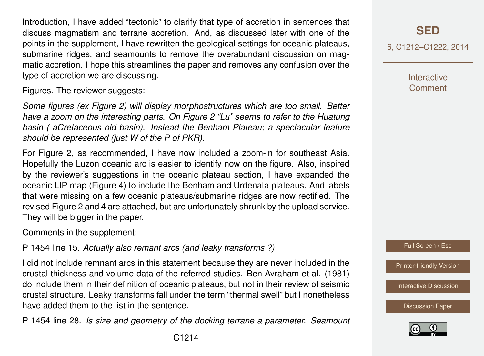Introduction, I have added "tectonic" to clarify that type of accretion in sentences that discuss magmatism and terrane accretion. And, as discussed later with one of the points in the supplement, I have rewritten the geological settings for oceanic plateaus, submarine ridges, and seamounts to remove the overabundant discussion on magmatic accretion. I hope this streamlines the paper and removes any confusion over the type of accretion we are discussing.

Figures. The reviewer suggests:

*Some figures (ex Figure 2) will display morphostructures which are too small. Better have a zoom on the interesting parts. On Figure 2 "Lu" seems to refer to the Huatung basin ( aCretaceous old basin). Instead the Benham Plateau; a spectacular feature should be represented (just W of the P of PKR).*

For Figure 2, as recommended, I have now included a zoom-in for southeast Asia. Hopefully the Luzon oceanic arc is easier to identify now on the figure. Also, inspired by the reviewer's suggestions in the oceanic plateau section, I have expanded the oceanic LIP map (Figure 4) to include the Benham and Urdenata plateaus. And labels that were missing on a few oceanic plateaus/submarine ridges are now rectified. The revised Figure 2 and 4 are attached, but are unfortunately shrunk by the upload service. They will be bigger in the paper.

Comments in the supplement:

P 1454 line 15. *Actually also remant arcs (and leaky transforms ?)*

I did not include remnant arcs in this statement because they are never included in the crustal thickness and volume data of the referred studies. Ben Avraham et al. (1981) do include them in their definition of oceanic plateaus, but not in their review of seismic crustal structure. Leaky transforms fall under the term "thermal swell" but I nonetheless have added them to the list in the sentence.

P 1454 line 28. *Is size and geometry of the docking terrane a parameter. Seamount*

## **[SED](http://www.solid-earth-discuss.net)**

6, C1212–C1222, 2014

**Interactive Comment** 

Full Screen / Esc

[Printer-friendly Version](http://www.solid-earth-discuss.net/6/C1212/2014/sed-6-C1212-2014-print.pdf)

[Interactive Discussion](http://www.solid-earth-discuss.net/6/1451/2014/sed-6-1451-2014-discussion.html)

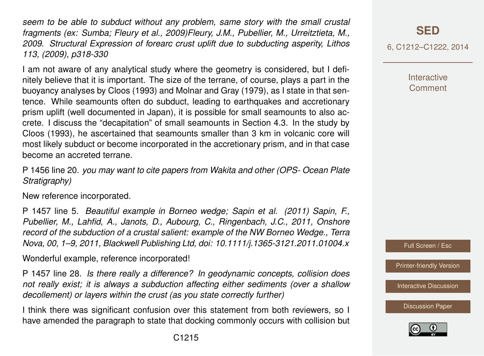*seem to be able to subduct without any problem, same story with the small crustal fragments (ex: Sumba; Fleury et al., 2009)Fleury, J.M., Pubellier, M., Urreitztieta, M., 2009. Structural Expression of forearc crust uplift due to subducting asperity, Lithos 113, (2009), p318-330*

I am not aware of any analytical study where the geometry is considered, but I definitely believe that it is important. The size of the terrane, of course, plays a part in the buoyancy analyses by Cloos (1993) and Molnar and Gray (1979), as I state in that sentence. While seamounts often do subduct, leading to earthquakes and accretionary prism uplift (well documented in Japan), it is possible for small seamounts to also accrete. I discuss the "decapitation" of small seamounts in Section 4.3. In the study by Cloos (1993), he ascertained that seamounts smaller than 3 km in volcanic core will most likely subduct or become incorporated in the accretionary prism, and in that case become an accreted terrane.

P 1456 line 20. *you may want to cite papers from Wakita and other (OPS- Ocean Plate Stratigraphy)*

New reference incorporated.

P 1457 line 5. *Beautiful example in Borneo wedge; Sapin et al. (2011) Sapin, F., Pubellier, M., Lahfid, A., Janots, D., Aubourg, C., Ringenbach, J.C., 2011, Onshore record of the subduction of a crustal salient: example of the NW Borneo Wedge., Terra Nova, 00, 1–9, 2011, Blackwell Publishing Ltd, doi: 10.1111/j.1365-3121.2011.01004.x*

Wonderful example, reference incorporated!

P 1457 line 28. *Is there really a difference? In geodynamic concepts, collision does not really exist; it is always a subduction affecting either sediments (over a shallow decollement) or layers within the crust (as you state correctly further)*

I think there was significant confusion over this statement from both reviewers, so I have amended the paragraph to state that docking commonly occurs with collision but 6, C1212–C1222, 2014

**Interactive Comment** 



[Printer-friendly Version](http://www.solid-earth-discuss.net/6/C1212/2014/sed-6-C1212-2014-print.pdf)

[Interactive Discussion](http://www.solid-earth-discuss.net/6/1451/2014/sed-6-1451-2014-discussion.html)

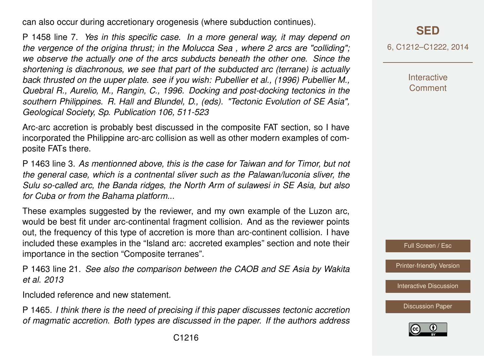can also occur during accretionary orogenesis (where subduction continues).

P 1458 line 7. *Yes in this specific case. In a more general way, it may depend on the vergence of the origina thrust; in the Molucca Sea , where 2 arcs are "colliding"; we observe the actually one of the arcs subducts beneath the other one. Since the shortening is diachronous, we see that part of the subducted arc (terrane) is actually back thrusted on the uuper plate. see if you wish: Pubellier et al., (1996) Pubellier M., Quebral R., Aurelio, M., Rangin, C., 1996. Docking and post-docking tectonics in the southern Philippines. R. Hall and Blundel, D., (eds). "Tectonic Evolution of SE Asia", Geological Society, Sp. Publication 106, 511-523*

Arc-arc accretion is probably best discussed in the composite FAT section, so I have incorporated the Philippine arc-arc collision as well as other modern examples of composite FATs there.

P 1463 line 3. *As mentionned above, this is the case for Taiwan and for Timor, but not the general case, which is a contnental sliver such as the Palawan/luconia sliver, the Sulu so-called arc, the Banda ridges, the North Arm of sulawesi in SE Asia, but also for Cuba or from the Bahama platform...*

These examples suggested by the reviewer, and my own example of the Luzon arc, would be best fit under arc-continental fragment collision. And as the reviewer points out, the frequency of this type of accretion is more than arc-continent collision. I have included these examples in the "Island arc: accreted examples" section and note their importance in the section "Composite terranes".

P 1463 line 21. *See also the comparison between the CAOB and SE Asia by Wakita et al. 2013*

Included reference and new statement.

P 1465. *I think there is the need of precising if this paper discusses tectonic accretion of magmatic accretion. Both types are discussed in the paper. If the authors address*

6, C1212–C1222, 2014

**Interactive** Comment

Full Screen / Esc

[Printer-friendly Version](http://www.solid-earth-discuss.net/6/C1212/2014/sed-6-C1212-2014-print.pdf)

[Interactive Discussion](http://www.solid-earth-discuss.net/6/1451/2014/sed-6-1451-2014-discussion.html)

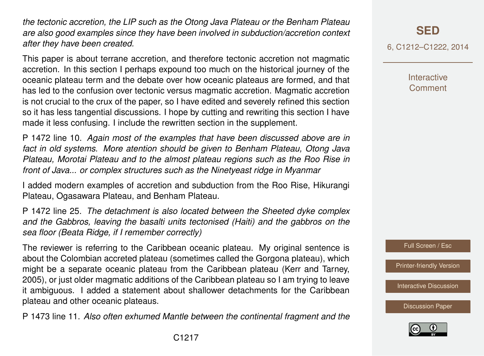*the tectonic accretion, the LIP such as the Otong Java Plateau or the Benham Plateau are also good examples since they have been involved in subduction/accretion context after they have been created.*

This paper is about terrane accretion, and therefore tectonic accretion not magmatic accretion. In this section I perhaps expound too much on the historical journey of the oceanic plateau term and the debate over how oceanic plateaus are formed, and that has led to the confusion over tectonic versus magmatic accretion. Magmatic accretion is not crucial to the crux of the paper, so I have edited and severely refined this section so it has less tangential discussions. I hope by cutting and rewriting this section I have made it less confusing. I include the rewritten section in the supplement.

P 1472 line 10. *Again most of the examples that have been discussed above are in fact in old systems. More atention should be given to Benham Plateau, Otong Java Plateau, Morotai Plateau and to the almost plateau regions such as the Roo Rise in front of Java... or complex structures such as the Ninetyeast ridge in Myanmar*

I added modern examples of accretion and subduction from the Roo Rise, Hikurangi Plateau, Ogasawara Plateau, and Benham Plateau.

P 1472 line 25. *The detachment is also located between the Sheeted dyke complex and the Gabbros, leaving the basalti units tectonised (Haiti) and the gabbros on the sea floor (Beata Ridge, if I remember correctly)*

The reviewer is referring to the Caribbean oceanic plateau. My original sentence is about the Colombian accreted plateau (sometimes called the Gorgona plateau), which might be a separate oceanic plateau from the Caribbean plateau (Kerr and Tarney, 2005), or just older magmatic additions of the Caribbean plateau so I am trying to leave it ambiguous. I added a statement about shallower detachments for the Caribbean plateau and other oceanic plateaus.

P 1473 line 11. *Also often exhumed Mantle between the continental fragment and the*

6, C1212–C1222, 2014

**Interactive Comment** 



[Printer-friendly Version](http://www.solid-earth-discuss.net/6/C1212/2014/sed-6-C1212-2014-print.pdf)

[Interactive Discussion](http://www.solid-earth-discuss.net/6/1451/2014/sed-6-1451-2014-discussion.html)

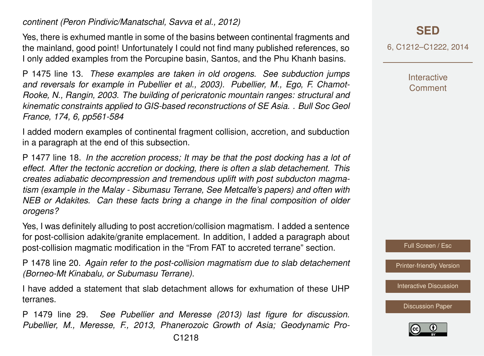*continent (Peron Pindivic/Manatschal, Savva et al., 2012)*

Yes, there is exhumed mantle in some of the basins between continental fragments and the mainland, good point! Unfortunately I could not find many published references, so I only added examples from the Porcupine basin, Santos, and the Phu Khanh basins.

P 1475 line 13. *These examples are taken in old orogens. See subduction jumps and reversals for example in Pubellier et al., 2003). Pubellier, M., Ego, F. Chamot-Rooke, N., Rangin, 2003. The building of pericratonic mountain ranges: structural and kinematic constraints applied to GIS-based reconstructions of SE Asia. . Bull Soc Geol France, 174, 6, pp561-584*

I added modern examples of continental fragment collision, accretion, and subduction in a paragraph at the end of this subsection.

P 1477 line 18. *In the accretion process; It may be that the post docking has a lot of effect. After the tectonic accretion or docking, there is often a slab detachement. This creates adiabatic decompression and tremendous uplift with post subducton magmatism (example in the Malay - Sibumasu Terrane, See Metcalfe's papers) and often with NEB or Adakites. Can these facts bring a change in the final composition of older orogens?*

Yes, I was definitely alluding to post accretion/collision magmatism. I added a sentence for post-collision adakite/granite emplacement. In addition, I added a paragraph about post-collision magmatic modification in the "From FAT to accreted terrane" section.

P 1478 line 20. *Again refer to the post-collision magmatism due to slab detachement (Borneo-Mt Kinabalu, or Subumasu Terrane).*

I have added a statement that slab detachment allows for exhumation of these UHP terranes.

P 1479 line 29. *See Pubellier and Meresse (2013) last figure for discussion. Pubellier, M., Meresse, F., 2013, Phanerozoic Growth of Asia; Geodynamic Pro-*

## **[SED](http://www.solid-earth-discuss.net)**

6, C1212–C1222, 2014

**Interactive Comment** 

Full Screen / Esc

[Printer-friendly Version](http://www.solid-earth-discuss.net/6/C1212/2014/sed-6-C1212-2014-print.pdf)

[Interactive Discussion](http://www.solid-earth-discuss.net/6/1451/2014/sed-6-1451-2014-discussion.html)

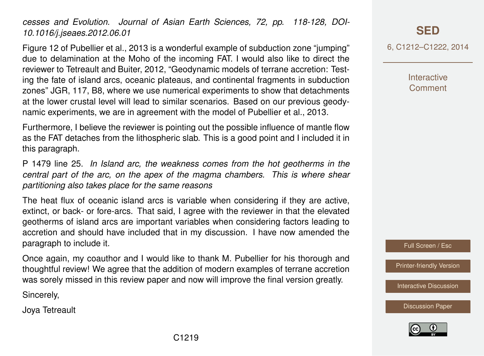*cesses and Evolution. Journal of Asian Earth Sciences, 72, pp. 118-128, DOI-10.1016/j.jseaes.2012.06.01*

Figure 12 of Pubellier et al., 2013 is a wonderful example of subduction zone "jumping" due to delamination at the Moho of the incoming FAT. I would also like to direct the reviewer to Tetreault and Buiter, 2012, "Geodynamic models of terrane accretion: Testing the fate of island arcs, oceanic plateaus, and continental fragments in subduction zones" JGR, 117, B8, where we use numerical experiments to show that detachments at the lower crustal level will lead to similar scenarios. Based on our previous geodynamic experiments, we are in agreement with the model of Pubellier et al., 2013.

Furthermore, I believe the reviewer is pointing out the possible influence of mantle flow as the FAT detaches from the lithospheric slab. This is a good point and I included it in this paragraph.

P 1479 line 25. *In Island arc, the weakness comes from the hot geotherms in the central part of the arc, on the apex of the magma chambers. This is where shear partitioning also takes place for the same reasons*

The heat flux of oceanic island arcs is variable when considering if they are active, extinct, or back- or fore-arcs. That said, I agree with the reviewer in that the elevated geotherms of island arcs are important variables when considering factors leading to accretion and should have included that in my discussion. I have now amended the paragraph to include it.

Once again, my coauthor and I would like to thank M. Pubellier for his thorough and thoughtful review! We agree that the addition of modern examples of terrane accretion was sorely missed in this review paper and now will improve the final version greatly.

Sincerely,

Joya Tetreault

**[SED](http://www.solid-earth-discuss.net)**

6, C1212–C1222, 2014

**Interactive** Comment

Full Screen / Esc

[Printer-friendly Version](http://www.solid-earth-discuss.net/6/C1212/2014/sed-6-C1212-2014-print.pdf)

[Interactive Discussion](http://www.solid-earth-discuss.net/6/1451/2014/sed-6-1451-2014-discussion.html)



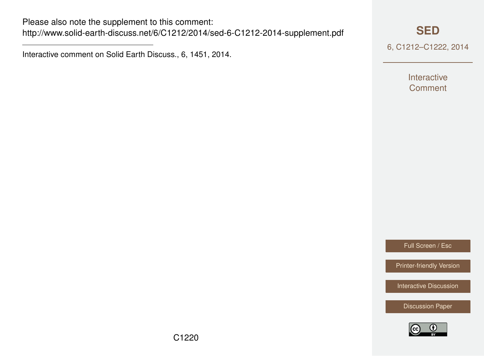Please also note the supplement to this comment: <http://www.solid-earth-discuss.net/6/C1212/2014/sed-6-C1212-2014-supplement.pdf>

Interactive comment on Solid Earth Discuss., 6, 1451, 2014.

### **[SED](http://www.solid-earth-discuss.net)**

6, C1212–C1222, 2014

Interactive **Comment** 

Full Screen / Esc

[Printer-friendly Version](http://www.solid-earth-discuss.net/6/C1212/2014/sed-6-C1212-2014-print.pdf)

[Interactive Discussion](http://www.solid-earth-discuss.net/6/1451/2014/sed-6-1451-2014-discussion.html)

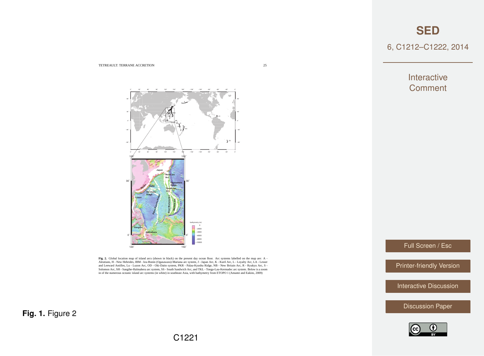**[SED](http://www.solid-earth-discuss.net)**

6, C1212–C1222, 2014

Interactive **Comment** 

Full Screen / Esc

[Printer-friendly Version](http://www.solid-earth-discuss.net/6/C1212/2014/sed-6-C1212-2014-print.pdf)

[Interactive Discussion](http://www.solid-earth-discuss.net/6/1451/2014/sed-6-1451-2014-discussion.html)

[Discussion Paper](http://www.solid-earth-discuss.net/6/1451/2014/sed-6-1451-2014.pdf)





0˚

0˚

TETREAULT: TERRANE ACCRETION 25

Fig. 2. Global location map of island arcs (shown in black) on the present day ocean floor. Arc systems labelled on the map are: A -<br>Aleutians, H - New Hebrides, IBM - Izu-Bonin (Ogasawara)-Mariana arc system, J - Japan Ar and Leeward Antilles, Lu - Luzon Arc, OD - Oki-Daito system, PKR - Palau-Kyushu Ridge, NB - New Britain Arc, R - Ryukyu Arc, S -<br>Solomon Arc, SH - Sangihe-Halmahera arc system, SS - South Sandwich Arc, and TKL - Tonga-Lau-

**Fig. 1.** Figure 2